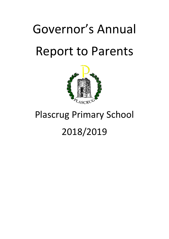# Governor's Annual Report to Parents



# Plascrug Primary School 2018/2019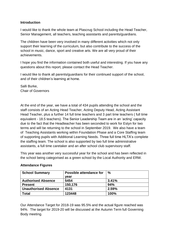#### **Introduction**

I would like to thank the whole team at Plascrug School including the Head Teacher, Senior Management, all teachers, teaching assistants and parents/guardians.

The children have been very involved in many different activities which not only support their learning of the curriculum, but also contribute to the success of the school in music, dance, sport and creative arts. We are all very proud of their achievements.

I hope you find the information contained both useful and interesting. If you have any questions about this report, please contact the Head Teacher.

I would like to thank all parents/guardians for their continued support of the school, and of their children's learning at home.

Salli Burke, Chair of Governors

At the end of the year, we have a total of 434 pupils attending the school and the staff consists of an Acting Head Teacher, Acting Deputy Head, Acting Assistant Head Teacher, plus a further 14 full time teachers and 3 part time teachers ( full time equivalent - 18.5 teachers). The Senior Leadership Team are in an 'acting' capacity due to the fact that the Headteacher has been seconded to work for Estyn for two terms and will be returning to the school in September 2019. We also have a team of Teaching Assistants working within Foundation Phase and a Core Staffing team of supporting pupils with Additional Learning Needs. Three full time HLTA's complete the staffing team. The school is also supported by two full time administrative assistants, a full time caretaker and an after school club supervisory staff.

This year was another very successful year for the school and has been reflected in the school being categorised as a green school by the Local Authority and ERW.

| <b>School Summary</b>       | Possible attendance for | %     |
|-----------------------------|-------------------------|-------|
|                             | vear                    |       |
| <b>Authorised Absence</b>   | 5454                    | 3.41% |
| <b>Present</b>              | 150,176                 | 94%   |
| <b>Unauthorised Absence</b> | 4131                    | 2.59% |
| <b>Total</b>                | 123448                  | 100%  |

#### **Attendance Figures**

Our Attendance Target for 2018-19 was 95.5% and the actual figure reached was 94%. The target for 2019-20 will be discussed at the Autumn Term full Governing Body meeting.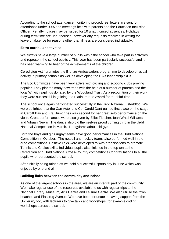According to the school attendance monitoring procedures, letters are sent for attendance under 90% and meetings held with parents and the Education Inclusion Officer. Penalty notices may be issued for 10 unauthorised absences. Holidays during term time are unauthorised, however any requests received in writing for leave of absence for reasons other than illness are considered individually.

#### **Extra-curricular activities**

We always have a large number of pupils within the school who take part in activities and represent the school publicly. This year has been particularly successful and it has been warming to hear of the achievements of the children.

Ceredigion Actif promotes the Bronze Ambassadors programme to develop physical activity in primary schools as well as developing the BA's leadership skills.

The Eco Committee have been very active with cycling and scooting clubs proving popular. They planted many new trees with the help of a number of parents and the local WI with saplings donated by the Woodland Trust. As a recognition of their work they were successful in gaining the Platinum Eco Award for the third time.

The school once again participated successfully in the Urdd National Eisteddfod. We were delighted that the Can Actol and Cor Cerdd Dant gained first place on the stage in Cardiff Bay and Efa Humphries was second for her great solo performance on the violin. Great performances were also given by Elliot Fletcher, Ioan Whall Williams and Vihaan Newar. The dance also did themselves proud coming third in the Urdd National Competition in March. Llongyfarchiadau i chi gyd.

Both the boys and girls rugby teams gave good performances in the Urdd National Competition in October. The netball and hockey teams also performed well in the area competitions. Positive links were developed to with organisations to promote Tennis and Cricket skills. Individual pupils also finished in the top ten at the Ceredigion and Urdd National Cross-Country competitions Congratulations to all the pupils who represented the school.

After initially being rained off we held a successful sports day in June which was enjoyed by one and all.

#### **Building links between the community and school**

As one of the largest schools in the area, we are an integral part of the community. We make regular use of the resources available to us with regular trips to the National Library, Museum, Arts Centre and Leisure Centre. We also utilise the town beaches and Plascrug Avenue. We have been fortunate in having support from the University too, with lecturers to give talks and workshops, for example coding workshops across the school.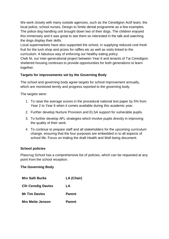We work closely with many outside agencies, such as the Ceredigion Actif team, the local police, school nurses, Design to Smile dental programme as a few examples. The police dog handling unit brought down two of their dogs. The children enjoyed this immensely and it was great to see them so interested in the talk and watching the dogs display their skills.

Local supermarkets have also supported the school, in supplying reduced cost fresh fruit for the tuck shop and prizes for raffles etc as well as visits linked to the curriculum. A fabulous way of enforcing our healthy eating policy.

Clwb Ni, our inter-generational project between Year 6 and tenants of Tai Ceredigion sheltered housing continues to provide opportunities for both generations to learn together.

#### **Targets for improvements set by the Governing Body**

The school and governing body agree targets for school improvement annually, which are monitored termly and progress reported to the governing body.

The targets were:

- 1. To raise the average scores in the procedural national test paper by 5% from Year 2 to Year 6 when it comes available during this academic year.
- 2. Further develop Nurture Provision and ELSA support for vulnerable pupils.
- 3. To further develop AFL strategies which involve pupils directly in improving the quality of their work.
- 4. To continue to prepare staff and all stakeholders for the upcoming curriculum change, ensuring that the four purposes are embedded in to all aspects of school life. Focus on trialing the draft Health and Well being document.

#### **School policies**

Plascrug School has a comprehensive list of policies, which can be requested at any point from the school reception.

#### **The Governing Body**

| <b>Mrs Salli Burke</b>     | LA (Chair)    |
|----------------------------|---------------|
| <b>CIIr Ceredig Davies</b> | LA            |
| <b>Mr Tim Davies</b>       | <b>Parent</b> |
| <b>Mrs Mette Jenson</b>    | <b>Parent</b> |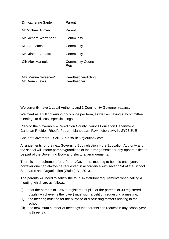| Dr. Katherine Santer                                    | Parent                          |  |  |
|---------------------------------------------------------|---------------------------------|--|--|
| Mr Michael Allman                                       | Parent                          |  |  |
| Mr Richard Warrender                                    | Community                       |  |  |
| Ms Ana Machado                                          | Community                       |  |  |
| Mr Krishna Venattu                                      | Community                       |  |  |
| Cllr Alex Mangold                                       | <b>Community Council</b><br>Rep |  |  |
| $M_{\text{max}} M_{\text{max}} \cap \ldots \cap \ldots$ | الممرئام العمطم مملوم ملل       |  |  |

Mrs Menna Sweeney/ Mr Berian Lewis Headteacher/Acting Headteacher

We currently have 1 Local Authority and 1 Community Governor vacancy

We meet as a full governing body once per term, as well as having subcommittee meetings to discuss specific things.

Clerk to the Governors – Ceredigion County Council Education Department, Canolfan Rheidol, Rhodfa Padarn, Llanbadarn Fawr, Aberystwyth, SY23 3UE

Chair of Governors – Salli Burke sallib77@outlook.com

Arrangements for the next Governing Body election – the Education Authority and the school will inform parents/guardians of the arrangements for any opportunities to be part of the Governing Body and electoral arrangements.

There is no requirement for a Parent/Governors meeting to be held each year, however one can always be requested in accordance with section 94 of the School Standards and Organisation (Wales) Act 2013.

The parents will need to satisfy the four (4) statutory requirements when calling a meeting which are as follows:-

- (i) that the parents of 10% of registered pupils, or the parents of 30 registered pupils (whichever is the lower) must sign a petition requesting a meeting;
- (ii) the meeting must be for the purpose of discussing matters relating to the school;
- (iii) the maximum number of meetings that parents can request in any school year is three (3);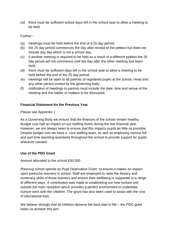(iv) there must be sufficient school days left in the school year to allow a meeting to be held.

#### Further:-

- (a) meetings must be held before the end of a 25 day period;
- (b) the 25 day period commences the day after receipt of the petition but does not include any day which is not a school day;
- (c) if another meeting is required to be held as a result of a different petition the 25 day period will not commence until the day after the other meeting has been held;
- (d) there must be sufficient days left in the school year to allow a meeting to be held before the end of the 25 day period;
- (e) meetings will be open to all parents of registered pupils at the school, Head and any other person invited by the governing body;
- (f) notification of meetings to parents must include the date, time and venue of the meeting and the matter or matters to be discussed.

#### **Financial Statement for the Previous Year**

Please see Appendix 1

As a Governing Body we ensure that the finances of the school remain healthy. Budget cuts had an impact on our staffing levels during the last financial year. However, we are always keen to ensure that this impacts pupils as little as possible. Despite budget cuts we have a core staffing team, as well as employing various full and part time teaching assistants throughout the school to provide support for pupils wherever needed.

#### **Use of the PDG Grant**

Amount allocated to the school £50,500

Plascrug school spends its Pupil Deprivation Grant to ensure it makes an impact upon particular learners in school. Staff are employed to raise the literacy and numeracy skills of those learners and ensure their wellbeing is supported in a range of different ways. A contribution was made to establishing our new nurture unit outside the main reception which provides a perfect environment to undertake nurture work with the children. The grant has also been used to assist with the cost of educational trips.

We believe strongly that all children deserve the best start in life – the PDG grant helps us achieve this aim.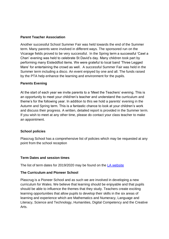#### **Parent Teacher Association**

Another successful School Summer Fair was held towards the end of the Summer term. Many parents were involved in different ways. The sponsored run on the Vicarage fields proved to be very successful. In the Spring term a successful 'Cawl a Chan' evening was held to celebrate St David's day. Many children took part by performing many Eisteddfod items. We were grateful to local band 'Three Legged Mare' for entertaining the crowd as well. A successful Summer Fair was held in the Summer term including a disco. An event enjoyed by one and all. The funds raised by the PTA help enhance the learning and environment for the pupils.

#### **Parents Evening**

At the start of each year we invite parents to a 'Meet the Teachers' evening. This is an opportunity to meet your child/ren's teacher and understand the curriculum and theme's for the following year. In addition to this we hold a parents' evening in the Autumn and Spring term. This is a fantastic chance to look at your children's work and discuss their progress. A written, detailed report is provided in the Summer term. If you wish to meet at any other time, please do contact your class teacher to make an appointment.

#### **School policies**

Plascrug School has a comprehensive list of policies which may be requested at any point from the school reception

#### **Term Dates and session times**

The list of term dates for 2019/2020 may be found on the [LA website](https://www.ceredigion.gov.uk/English/Resident/Schools-Education/School-Information/School-Term-Dates/Pages/default.aspx)

#### **The Curriculum and Pioneer School**

Plascrug is a Pioneer School and as such we are involved in developing a new curriculum for Wales. We believe that learning should be enjoyable and that pupils should be able to influence the themes that they study. Teachers create exciting learning opportunities that allow pupils to develop their skills in the six areas of learning and experience which are Mathematics and Numeracy, Language and Literacy, Science and Technology, Humanities, Digital Competency and the Creative Arts.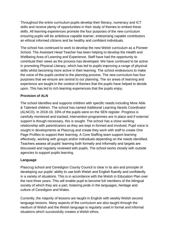Throughout the entire curriculum pupils develop their literacy, numeracy and ICT skills and receive plenty of opportunities in their study of themes to embed these skills. All learning experiences promote the four purposes of the new curriculum ensuring pupils will be ambitious capable learner, enterprising capable contributors an ethical informed citizens and be healthy and confident individuals.

The school has continued to work to develop the new Welsh curriculum as a Pioneer School. The Assistant Head Teacher has been helping to develop the Health and Wellbeing Area of Learning and Experience. Staff have had the opportunity to contribute their views as the process has developed. We have continued to be active in promoting Physical Literacy, which has led to pupils improving a range of physical skills whilst becoming more active in their learning. The school endeavours to make the voice of the pupils central to the planning process. The new curriculum has four purposes that we ensure are central to our planning. The six areas of learning and experience are taught in the context of themes that the pupils have helped to decide upon. This has led to rich learning experiences that the pupils enjoy.

#### **Provision of ALN**

The school identifies and supports children with specific needs including More Able & Talented children. The school has named Additional Learning Needs Coordinator (ALNCO). In 2018-19, 33% of the pupils were on the SEN register. Progress is carefully monitored and tracked, intervention programmes are in place and if external support is though necessary, this is sought. The school has a close working relationship with parent/carers as they are kept in-formed and involved. Pupil voice is sought in developments at Plascrug and create they work with staff to create One Page Profiles to support their learning. A Core Staffing team support learning effectively, working with groups and/or individuals depending on the needs identified. Teachers assess all pupils' learning both formally and informally and targets are discussed and regularly reviewed with pupils. The school works closely with outside agencies to support pupils learning.

#### **Language**

Plascrug school and Ceredigion County Council is clear in its aim and principle of developing our pupils' ability to use both Welsh and English fluently and confidently in a variety of situations. This is in accordance with the Welsh in Education Plan over the next three years. This will enable pupil to become full members of the bilingual society of which they are a part, fostering pride in the languages, heritage and culture of Ceredigion and Wales.

Currently, the majority of lessons are taught in English with weekly Welsh second language lessons. Many aspects of the curriculum are also taught through the medium of Welsh and the Welsh language is regularly used in formal and informal situations which successfully creates a Welsh ethos.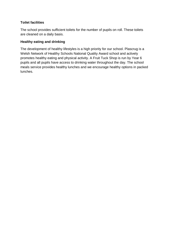#### **Toilet facilities**

The school provides sufficient toilets for the number of pupils on roll. These toilets are cleaned on a daily basis.

#### **Healthy eating and drinking**

The development of healthy lifestyles is a high priority for our school. Plascrug is a Welsh Network of Healthy Schools National Quality Award school and actively promotes healthy eating and physical activity. A Fruit Tuck Shop is run by Year 6 pupils and all pupils have access to drinking water throughout the day. The school meals service provides healthy lunches and we encourage healthy options in packed lunches.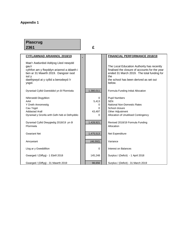## **Appendix 1**

### **Plascrug 2361 £**

| <b>CYFLAWNIAD ARIANNOL 2018/19</b>                                                                                                                                                           |                                            | <b>FINANCIAL PERFORMANCE 2018/19</b>                                                                                                                                                                  |
|----------------------------------------------------------------------------------------------------------------------------------------------------------------------------------------------|--------------------------------------------|-------------------------------------------------------------------------------------------------------------------------------------------------------------------------------------------------------|
| Mae'r Awdurdod Addysg Lleol newydd<br>gau'r<br>cyfrifon am y flwyddyn ariannol a ddaeth i<br>ben ar 31 Mawrth 2019. Dangosir isod<br>sut y<br>daethpwyd at y cyllid a benodwyd i'r<br>ysgol. |                                            | The Local Education Authority has recently<br>finalised the closure of accounts for the year<br>ended 31 March 2019. The total funding for<br>the<br>the school has been derived as set out<br>below. |
| Dyraniad Cyllid Gwreiddiol yn ôl Fformiwla                                                                                                                                                   | 1,380,011                                  | Formula Funding Initial Allocation                                                                                                                                                                    |
| Niferoedd Disgyblion<br>AAA<br>Y Dreth Annomestig<br>Cau Ysgol<br>Addasiad Arall<br>Dyraniad y Gronfa wrth Gefn heb ei Defnyddio                                                             | $\Omega$<br>5,413<br>0<br>0<br>43,497<br>0 | <b>Pupil Numbers</b><br><b>SEN</b><br>National Non-Domestic Rates<br>School closure<br>Other Adjustment<br>Allocation of Unutilised Contingency                                                       |
| Dyraniad Cyllid Diwygiedig 2018/19 yn ôl<br>Fformiwla                                                                                                                                        | 1,428,921                                  | Revised 2018/19 Formula Funding<br>Allocation                                                                                                                                                         |
| <b>Gwariant Net</b>                                                                                                                                                                          | 1,475,513                                  | Net Expenditure                                                                                                                                                                                       |
| Amrywiant                                                                                                                                                                                    | (46, 592)                                  | Variance                                                                                                                                                                                              |
| Llog ar y Gweddillion                                                                                                                                                                        | 0                                          | <b>Interest on Balances</b>                                                                                                                                                                           |
| Gwarged / (Diffyg) - 1 Ebrill 2018                                                                                                                                                           | 145,248                                    | Surplus / (Deficit) - 1 April 2018                                                                                                                                                                    |
| Gwarged / (Diffyg) - 31 Mawrth 2019                                                                                                                                                          | 98.656                                     | Surplus / (Deficit) - 31 March 2019                                                                                                                                                                   |